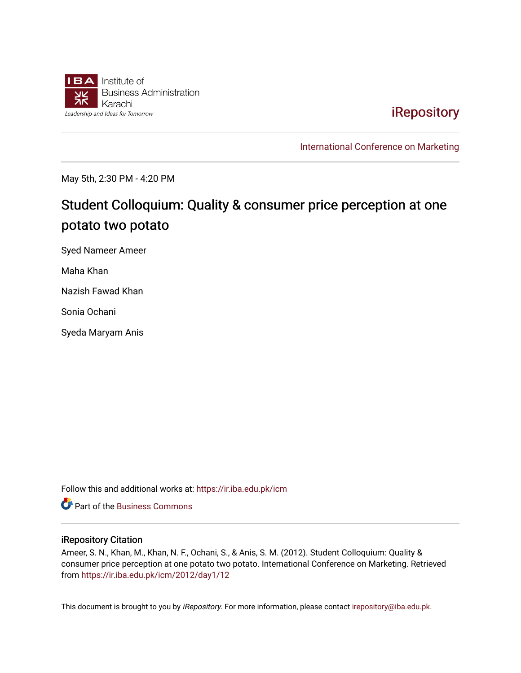

[iRepository](https://ir.iba.edu.pk/) 

[International Conference on Marketing](https://ir.iba.edu.pk/icm) 

May 5th, 2:30 PM - 4:20 PM

# Student Colloquium: Quality & consumer price perception at one potato two potato

Syed Nameer Ameer

Maha Khan

Nazish Fawad Khan

Sonia Ochani

Syeda Maryam Anis

Follow this and additional works at: [https://ir.iba.edu.pk/icm](https://ir.iba.edu.pk/icm?utm_source=ir.iba.edu.pk%2Ficm%2F2012%2Fday1%2F12&utm_medium=PDF&utm_campaign=PDFCoverPages) 

**C** Part of the [Business Commons](http://network.bepress.com/hgg/discipline/622?utm_source=ir.iba.edu.pk%2Ficm%2F2012%2Fday1%2F12&utm_medium=PDF&utm_campaign=PDFCoverPages)

#### iRepository Citation

Ameer, S. N., Khan, M., Khan, N. F., Ochani, S., & Anis, S. M. (2012). Student Colloquium: Quality & consumer price perception at one potato two potato. International Conference on Marketing. Retrieved from [https://ir.iba.edu.pk/icm/2012/day1/12](https://ir.iba.edu.pk/icm/2012/day1/12?utm_source=ir.iba.edu.pk%2Ficm%2F2012%2Fday1%2F12&utm_medium=PDF&utm_campaign=PDFCoverPages) 

This document is brought to you by iRepository. For more information, please contact [irepository@iba.edu.pk](mailto:irepository@iba.edu.pk).